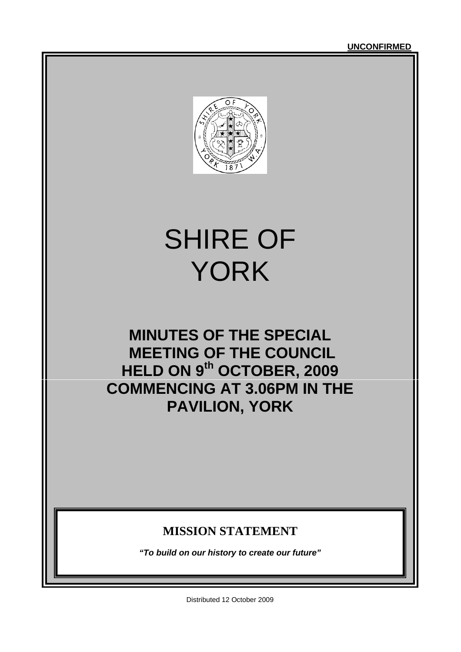

# SHIRE OF YORK

## **MINUTES OF THE SPECIAL MEETING OF THE COUNCIL HELD ON 9th OCTOBER, 2009 COMMENCING AT 3.06PM IN THE PAVILION, YORK**

### **MISSION STATEMENT**

*"To build on our history to create our future"*

Distributed 12 October 2009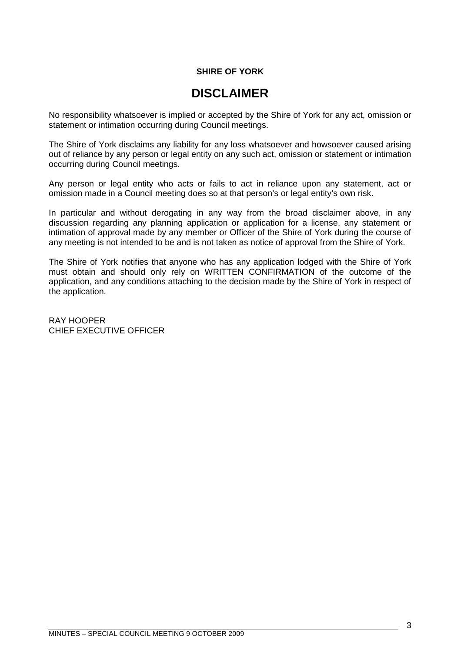#### **SHIRE OF YORK**

### **DISCLAIMER**

No responsibility whatsoever is implied or accepted by the Shire of York for any act, omission or statement or intimation occurring during Council meetings.

The Shire of York disclaims any liability for any loss whatsoever and howsoever caused arising out of reliance by any person or legal entity on any such act, omission or statement or intimation occurring during Council meetings.

Any person or legal entity who acts or fails to act in reliance upon any statement, act or omission made in a Council meeting does so at that person's or legal entity's own risk.

In particular and without derogating in any way from the broad disclaimer above, in any discussion regarding any planning application or application for a license, any statement or intimation of approval made by any member or Officer of the Shire of York during the course of any meeting is not intended to be and is not taken as notice of approval from the Shire of York.

The Shire of York notifies that anyone who has any application lodged with the Shire of York must obtain and should only rely on WRITTEN CONFIRMATION of the outcome of the application, and any conditions attaching to the decision made by the Shire of York in respect of the application.

RAY HOOPER CHIEF EXECUTIVE OFFICER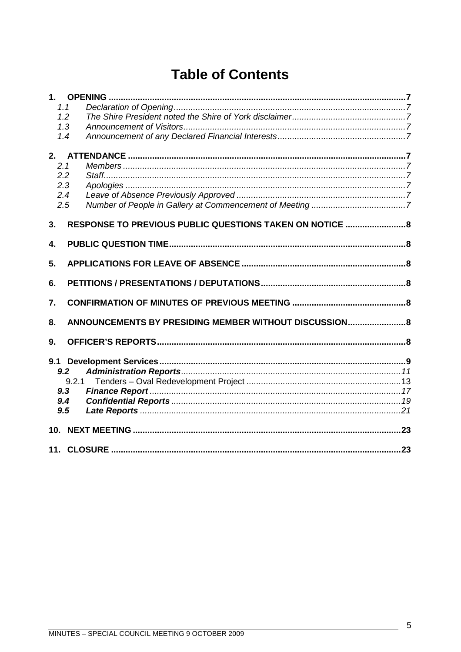### **Table of Contents**

|     | 1.1                                                      |  |
|-----|----------------------------------------------------------|--|
|     | 1.2                                                      |  |
|     | 1.3                                                      |  |
|     | 1.4                                                      |  |
|     |                                                          |  |
| 2.1 |                                                          |  |
| 2.2 |                                                          |  |
|     | 2.3                                                      |  |
|     | 2.4                                                      |  |
| 2.5 |                                                          |  |
| 3.  | RESPONSE TO PREVIOUS PUBLIC QUESTIONS TAKEN ON NOTICE  8 |  |
| 4.  |                                                          |  |
|     |                                                          |  |
| 5.  |                                                          |  |
| 6.  |                                                          |  |
| 7.  |                                                          |  |
| 8.  | ANNOUNCEMENTS BY PRESIDING MEMBER WITHOUT DISCUSSION 8   |  |
| 9.  |                                                          |  |
|     |                                                          |  |
|     | 9.2                                                      |  |
|     | 9.2.1                                                    |  |
|     | 9.3                                                      |  |
|     | 9.4                                                      |  |
|     | 9.5                                                      |  |
|     |                                                          |  |
|     |                                                          |  |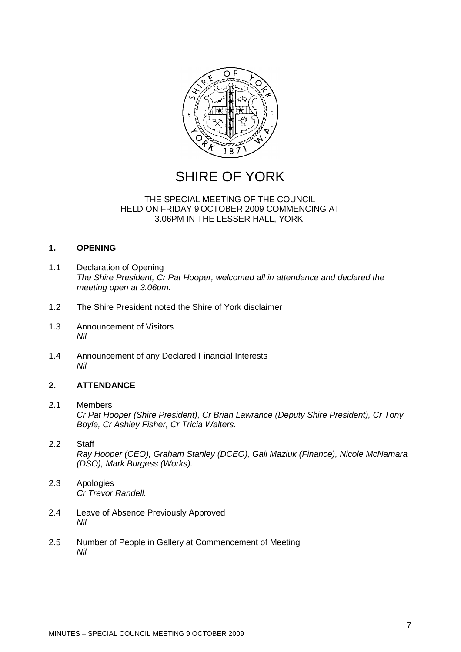

### SHIRE OF YORK

#### THE SPECIAL MEETING OF THE COUNCIL HELD ON FRIDAY 9 OCTOBER 2009 COMMENCING AT 3.06PM IN THE LESSER HALL, YORK.

#### <span id="page-6-0"></span>**1. OPENING**

- <span id="page-6-1"></span>1.1 Declaration of Opening *The Shire President, Cr Pat Hooper, welcomed all in attendance and declared the meeting open at 3.06pm.*
- <span id="page-6-2"></span>1.2 The Shire President noted the Shire of York disclaimer
- <span id="page-6-3"></span>1.3 Announcement of Visitors *Nil*
- <span id="page-6-4"></span>1.4 Announcement of any Declared Financial Interests *Nil*

#### <span id="page-6-5"></span>**2. ATTENDANCE**

#### <span id="page-6-6"></span>2.1 Members *Cr Pat Hooper (Shire President), Cr Brian Lawrance (Deputy Shire President), Cr Tony Boyle, Cr Ashley Fisher, Cr Tricia Walters.*

#### <span id="page-6-7"></span>2.2 Staff *Ray Hooper (CEO), Graham Stanley (DCEO), Gail Maziuk (Finance), Nicole McNamara (DSO), Mark Burgess (Works).*

- <span id="page-6-8"></span>2.3 Apologies *Cr Trevor Randell.*
- <span id="page-6-9"></span>2.4 Leave of Absence Previously Approved *Nil*
- <span id="page-6-10"></span>2.5 Number of People in Gallery at Commencement of Meeting *Nil*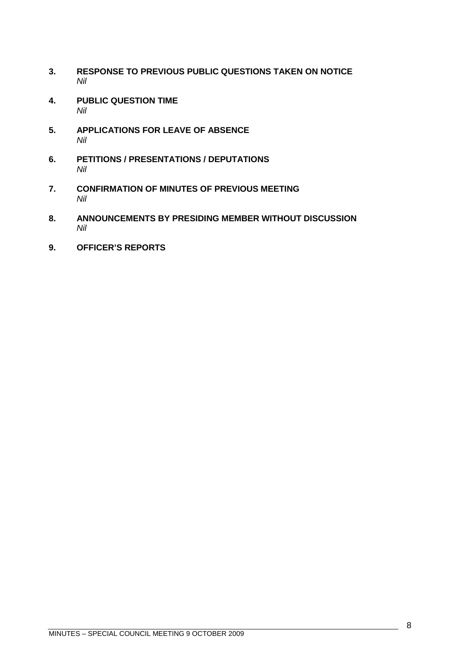- <span id="page-7-0"></span>**3. RESPONSE TO PREVIOUS PUBLIC QUESTIONS TAKEN ON NOTICE** *Nil*
- <span id="page-7-1"></span>**4. PUBLIC QUESTION TIME** *Nil*
- <span id="page-7-2"></span>**5. APPLICATIONS FOR LEAVE OF ABSENCE** *Nil*
- <span id="page-7-3"></span>**6. PETITIONS / PRESENTATIONS / DEPUTATIONS** *Nil*
- <span id="page-7-4"></span>**7. CONFIRMATION OF MINUTES OF PREVIOUS MEETING** *Nil*
- <span id="page-7-5"></span>**8. ANNOUNCEMENTS BY PRESIDING MEMBER WITHOUT DISCUSSION** *Nil*
- <span id="page-7-6"></span>**9. OFFICER'S REPORTS**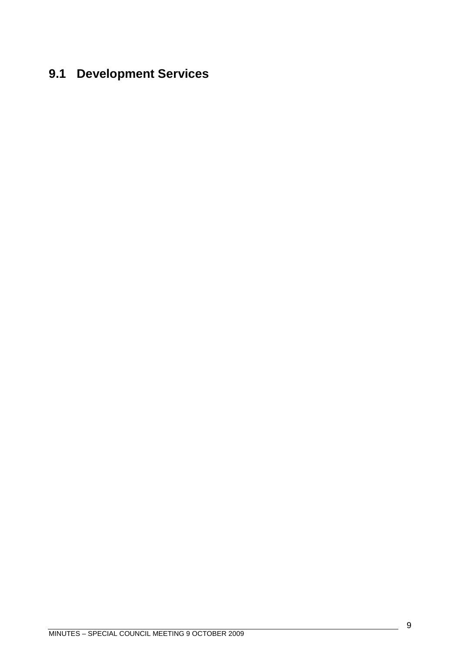# <span id="page-8-0"></span>**9.1 Development Services**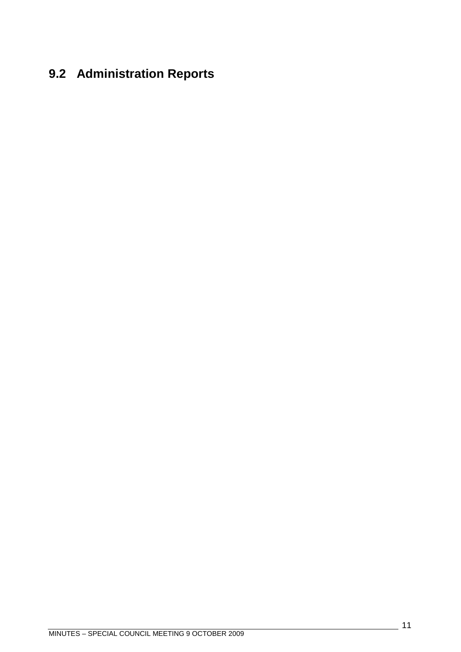# <span id="page-10-0"></span>**9.2 Administration Reports**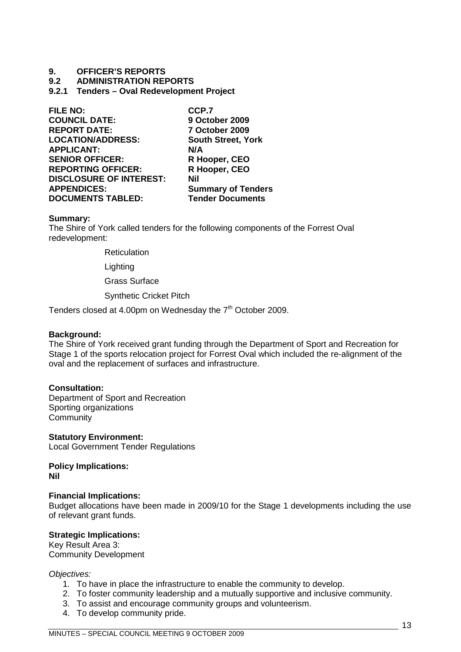#### **9. OFFICER'S REPORTS**

#### <span id="page-12-0"></span>**9.2 ADMINISTRATION REPORTS**

**9.2.1 Tenders – Oval Redevelopment Project**

| <b>FILE NO:</b>                | CCP.7                     |
|--------------------------------|---------------------------|
| <b>COUNCIL DATE:</b>           | 9 October 2009            |
| <b>REPORT DATE:</b>            | 7 October 2009            |
| <b>LOCATION/ADDRESS:</b>       | <b>South Street, York</b> |
| <b>APPLICANT:</b>              | N/A                       |
| <b>SENIOR OFFICER:</b>         | R Hooper, CEO             |
| <b>REPORTING OFFICER:</b>      | R Hooper, CEO             |
| <b>DISCLOSURE OF INTEREST:</b> | Nil                       |
| <b>APPENDICES:</b>             | <b>Summary of Tenders</b> |
| <b>DOCUMENTS TABLED:</b>       | <b>Tender Documents</b>   |
|                                |                           |

#### **Summary:**

The Shire of York called tenders for the following components of the Forrest Oval redevelopment:

**Reticulation** 

**Lighting** 

Grass Surface

Synthetic Cricket Pitch

Tenders closed at 4.00pm on Wednesday the  $7<sup>th</sup>$  October 2009.

#### **Background:**

The Shire of York received grant funding through the Department of Sport and Recreation for Stage 1 of the sports relocation project for Forrest Oval which included the re-alignment of the oval and the replacement of surfaces and infrastructure.

#### **Consultation:**

Department of Sport and Recreation Sporting organizations **Community** 

**Statutory Environment:** Local Government Tender Regulations

**Policy Implications: Nil**

#### **Financial Implications:**

Budget allocations have been made in 2009/10 for the Stage 1 developments including the use of relevant grant funds.

#### **Strategic Implications:**

Key Result Area 3: Community Development

#### *Objectives:*

- 1. To have in place the infrastructure to enable the community to develop.
- 2. To foster community leadership and a mutually supportive and inclusive community.
- 3. To assist and encourage community groups and volunteerism.
- 4. To develop community pride.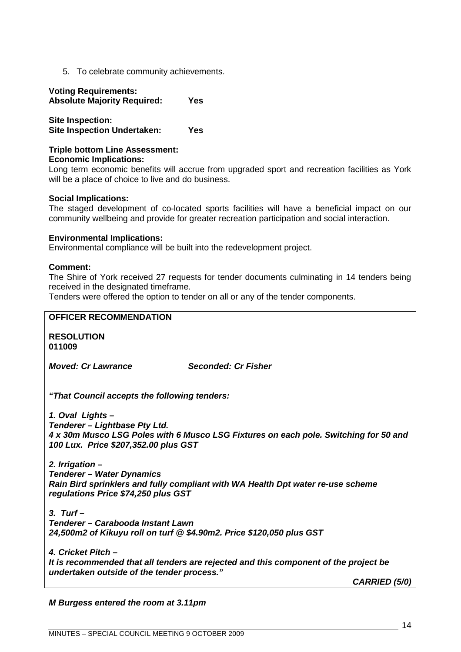5. To celebrate community achievements.

#### **Voting Requirements: Absolute Majority Required: Yes**

**Site Inspection: Site Inspection Undertaken: Yes**

#### **Triple bottom Line Assessment: Economic Implications:**

Long term economic benefits will accrue from upgraded sport and recreation facilities as York will be a place of choice to live and do business.

#### **Social Implications:**

The staged development of co-located sports facilities will have a beneficial impact on our community wellbeing and provide for greater recreation participation and social interaction.

#### **Environmental Implications:**

Environmental compliance will be built into the redevelopment project.

#### **Comment:**

The Shire of York received 27 requests for tender documents culminating in 14 tenders being received in the designated timeframe.

Tenders were offered the option to tender on all or any of the tender components.

### **OFFICER RECOMMENDATION RESOLUTION 011009** *Moved: Cr Lawrance Seconded: Cr Fisher "That Council accepts the following tenders: 1. Oval Lights – Tenderer – Lightbase Pty Ltd. 4 x 30m Musco LSG Poles with 6 Musco LSG Fixtures on each pole. Switching for 50 and 100 Lux. Price \$207,352.00 plus GST 2. Irrigation – Tenderer – Water Dynamics Rain Bird sprinklers and fully compliant with WA Health Dpt water re-use scheme regulations Price \$74,250 plus GST 3. Turf – Tenderer – Carabooda Instant Lawn 24,500m2 of Kikuyu roll on turf @ \$4.90m2. Price \$120,050 plus GST 4. Cricket Pitch – It is recommended that all tenders are rejected and this component of the project be undertaken outside of the tender process." CARRIED (5/0)*

*M Burgess entered the room at 3.11pm*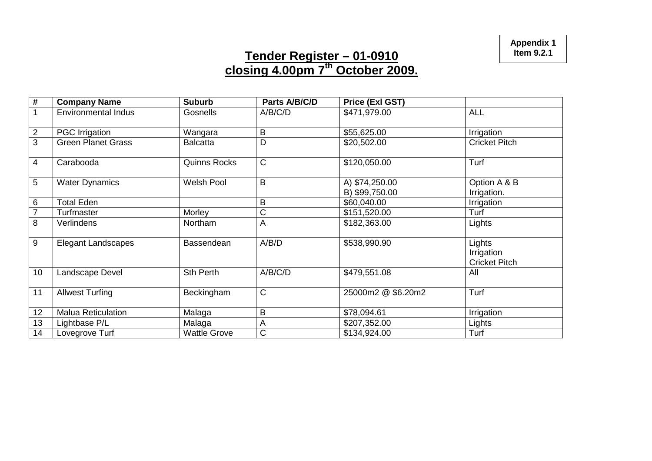**Appendix 1 Item 9.2.1**

### **Tender Register – 01-0910 closing 4.00pm 7th October 2009.**

| $\#$           | <b>Company Name</b>        | <b>Suburb</b>       | Parts A/B/C/D | Price (Exl GST)                  |                                              |
|----------------|----------------------------|---------------------|---------------|----------------------------------|----------------------------------------------|
|                | <b>Environmental Indus</b> | Gosnells            | A/B/C/D       | \$471,979.00                     | <b>ALL</b>                                   |
| $\overline{2}$ | <b>PGC Irrigation</b>      | Wangara             | B             | \$55,625.00                      | Irrigation                                   |
| 3              | <b>Green Planet Grass</b>  | <b>Balcatta</b>     | D             | \$20,502.00                      | <b>Cricket Pitch</b>                         |
| $\overline{4}$ | Carabooda                  | <b>Quinns Rocks</b> | $\mathsf C$   | \$120,050.00                     | Turf                                         |
| 5              | <b>Water Dynamics</b>      | <b>Welsh Pool</b>   | B             | A) \$74,250.00<br>B) \$99,750.00 | Option A & B<br>Irrigation.                  |
| 6              | <b>Total Eden</b>          |                     | B             | \$60,040.00                      | Irrigation                                   |
| $\overline{7}$ | Turfmaster                 | Morley              | C             | \$151,520.00                     | Turf                                         |
| 8              | Verlindens                 | Northam             | A             | \$182,363.00                     | Lights                                       |
| 9              | <b>Elegant Landscapes</b>  | Bassendean          | A/B/D         | \$538,990.90                     | Lights<br>Irrigation<br><b>Cricket Pitch</b> |
| 10             | Landscape Devel            | <b>Sth Perth</b>    | A/B/C/D       | \$479,551.08                     | All                                          |
| 11             | <b>Allwest Turfing</b>     | Beckingham          | $\mathsf{C}$  | 25000m2 @ \$6.20m2               | Turf                                         |
| 12             | <b>Malua Reticulation</b>  | Malaga              | B             | \$78,094.61                      | Irrigation                                   |
| 13             | Lightbase P/L              | Malaga              | A             | \$207,352.00                     | Lights                                       |
| 14             | Lovegrove Turf             | <b>Wattle Grove</b> | C             | \$134,924.00                     | Turf                                         |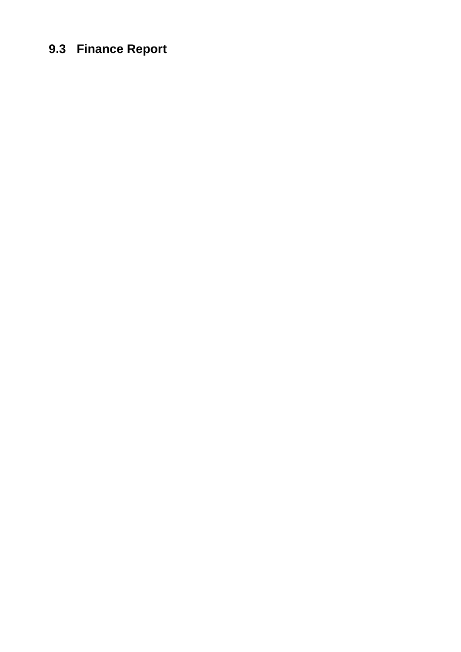# <span id="page-16-0"></span>**9.3 Finance Report**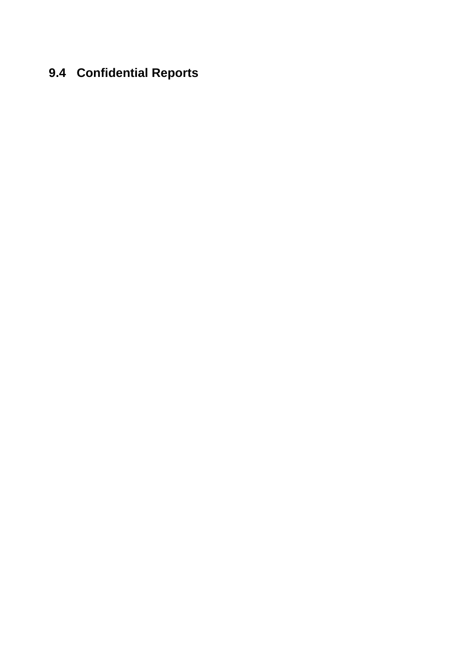### <span id="page-18-0"></span>**9.4 Confidential Reports**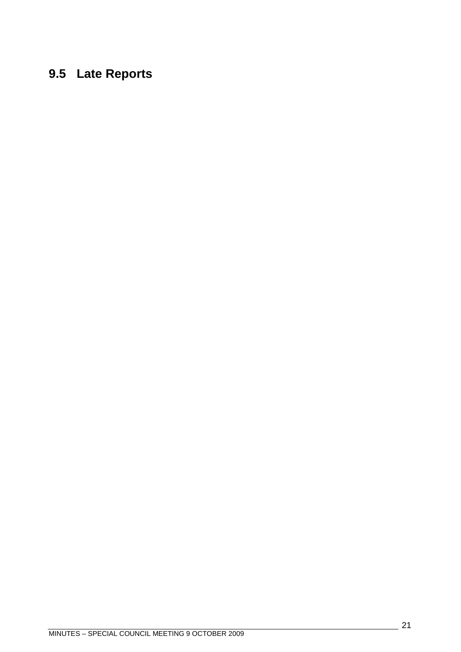### <span id="page-20-0"></span>**9.5 Late Reports**